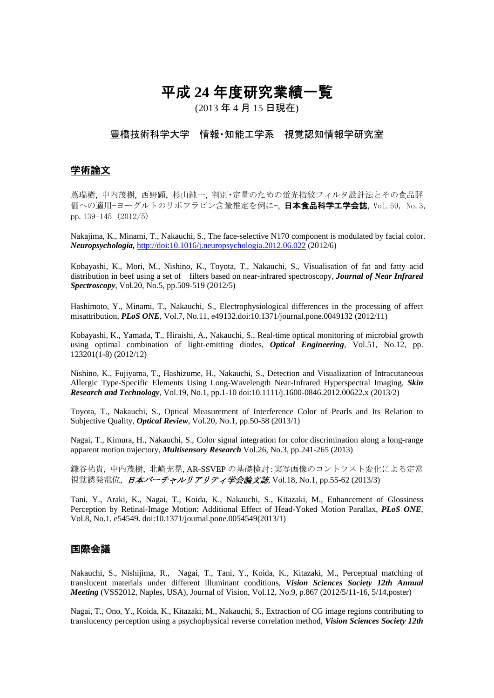# 平成 **24** 年度研究業績一覧

(2013 年 4 月 15 日現在)

### 豊橋技術科学大学 情報・知能工学系 視覚認知情報学研究室

### 学術論文

蔦瑞樹, 中内茂樹, 西野顕, 杉山純一, 判別・定量のための蛍光指紋フィルタ設計法とその食品評 価への適用−ヨーグルトのリボフラビン含量推定を例に−, 日本食品科学工学会誌, Vol.59, No.3, pp.139-145 (2012/5)

Nakajima, K., Minami, T., Nakauchi, S., The face-selective N170 component is modulated by facial color. *Neuropsychologia,* http://doi:10.1016/j.neuropsychologia.2012.06.022 (2012/6)

Kobayashi, K., Mori, M., Nishino, K., Toyota, T., Nakauchi, S., Visualisation of fat and fatty acid distribution in beef using a set of filters based on near-infrared spectroscopy, *Journal of Near Infrared Spectroscopy*, Vol.20, No.5, pp.509-519 (2012/5)

Hashimoto, Y., Minami, T., Nakauchi, S., Electrophysiological differences in the processing of affect misattribution, *PLoS ONE*, Vol.7, No.11, e49132.doi:10.1371/journal.pone.0049132 (2012/11)

Kobayashi, K., Yamada, T., Hiraishi, A., Nakauchi, S., Real-time optical monitoring of microbial growth using optimal combination of light-emitting diodes, *Optical Engineering*, Vol.51, No.12, pp. 123201(1-8) (2012/12)

Nishino, K., Fujiyama, T., Hashizume, H., Nakauchi, S., Detection and Visualization of Intracutaneous Allergic Type-Specific Elements Using Long-Wavelength Near-Infrared Hyperspectral Imaging, *Skin Research and Technology*, Vol.19, No.1, pp.1-10 doi:10.1111/j.1600-0846.2012.00622.x (2013/2)

Toyota, T., Nakauchi, S., Optical Measurement of Interference Color of Pearls and Its Relation to Subjective Quality, *Optical Review*, Vol.20, No.1, pp.50-58 (2013/1)

Nagai, T., Kimura, H., Nakauchi, S., Color signal integration for color discrimination along a long-range apparent motion trajectory, *Multisensory Research* Vol.26, No.3, pp.241-265 (2013)

鎌谷祐貴, 中内茂樹, 北崎充晃, AR-SSVEP の基礎検討:実写画像のコントラスト変化による定常 視覚誘発電位, 日本バーチャルリアリティ学会論文誌, Vol.18, No.1, pp.55-62 (2013/3)

Tani, Y., Araki, K., Nagai, T., Koida, K., Nakauchi, S., Kitazaki, M., Enhancement of Glossiness Perception by Retinal-Image Motion: Additional Effect of Head-Yoked Motion Parallax, *PLoS ONE*, Vol.8, No.1, e54549. doi:10.1371/journal.pone.0054549(2013/1)

### 国際会議

Nakauchi, S., Nishijima, R., Nagai, T., Tani, Y., Koida, K., Kitazaki, M., Perceptual matching of translucent materials under different illuminant conditions, *Vision Sciences Society 12th Annual Meeting* (VSS2012, Naples, USA), Journal of Vision, Vol.12, No.9, p.867 (2012/5/11-16, 5/14,poster)

Nagai, T., Ono, Y., Koida, K., Kitazaki, M., Nakauchi, S., Extraction of CG image regions contributing to translucency perception using a psychophysical reverse correlation method, *Vision Sciences Society 12th*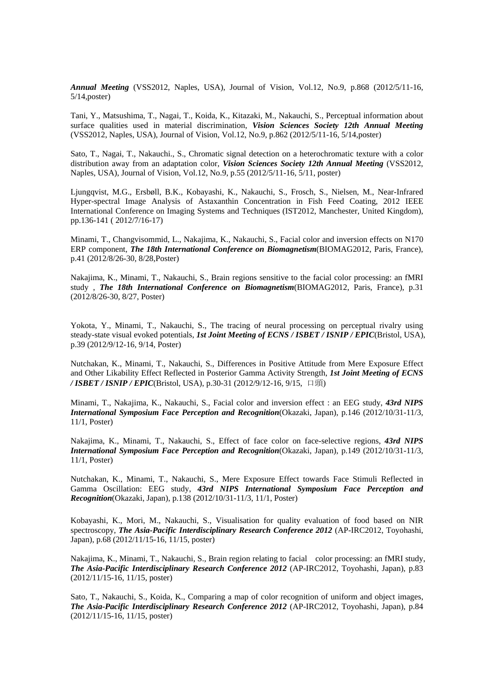*Annual Meeting* (VSS2012, Naples, USA), Journal of Vision, Vol.12, No.9, p.868 (2012/5/11-16, 5/14,poster)

Tani, Y., Matsushima, T., Nagai, T., Koida, K., Kitazaki, M., Nakauchi, S., Perceptual information about surface qualities used in material discrimination, *Vision Sciences Society 12th Annual Meeting*  (VSS2012, Naples, USA), Journal of Vision, Vol.12, No.9, p.862 (2012/5/11-16, 5/14,poster)

Sato, T., Nagai, T., Nakauchi., S., Chromatic signal detection on a heterochromatic texture with a color distribution away from an adaptation color, *Vision Sciences Society 12th Annual Meeting* (VSS2012, Naples, USA), Journal of Vision, Vol.12, No.9, p.55 (2012/5/11-16, 5/11, poster)

Ljungqvist, M.G., Ersbøll, B.K., Kobayashi, K., Nakauchi, S., Frosch, S., Nielsen, M., Near-Infrared Hyper-spectral Image Analysis of Astaxanthin Concentration in Fish Feed Coating, 2012 IEEE International Conference on Imaging Systems and Techniques (IST2012, Manchester, United Kingdom), pp.136-141 ( 2012/7/16-17)

Minami, T., Changvisommid, L., Nakajima, K., Nakauchi, S., Facial color and inversion effects on N170 ERP component, *The 18th International Conference on Biomagnetism*(BIOMAG2012, Paris, France), p.41 (2012/8/26-30, 8/28,Poster)

Nakajima, K., Minami, T., Nakauchi, S., Brain regions sensitive to the facial color processing: an fMRI study , *The 18th International Conference on Biomagnetism*(BIOMAG2012, Paris, France), p.31 (2012/8/26-30, 8/27, Poster)

Yokota, Y., Minami, T., Nakauchi, S., The tracing of neural processing on perceptual rivalry using steady-state visual evoked potentials, *1st Joint Meeting of ECNS / ISBET / ISNIP / EPIC*(Bristol, USA), p.39 (2012/9/12-16, 9/14, Poster)

Nutchakan, K., Minami, T., Nakauchi, S., Differences in Positive Attitude from Mere Exposure Effect and Other Likability Effect Reflected in Posterior Gamma Activity Strength, *1st Joint Meeting of ECNS / ISBET / ISNIP / EPIC*(Bristol, USA), p.30-31 (2012/9/12-16, 9/15, 口頭)

Minami, T., Nakajima, K., Nakauchi, S., Facial color and inversion effect : an EEG study, *43rd NIPS International Symposium Face Perception and Recognition*(Okazaki, Japan), p.146 (2012/10/31-11/3, 11/1, Poster)

Nakajima, K., Minami, T., Nakauchi, S., Effect of face color on face-selective regions, *43rd NIPS International Symposium Face Perception and Recognition*(Okazaki, Japan), p.149 (2012/10/31-11/3, 11/1, Poster)

Nutchakan, K., Minami, T., Nakauchi, S., Mere Exposure Effect towards Face Stimuli Reflected in Gamma Oscillation: EEG study, *43rd NIPS International Symposium Face Perception and Recognition*(Okazaki, Japan), p.138 (2012/10/31-11/3, 11/1, Poster)

Kobayashi, K., Mori, M., Nakauchi, S., Visualisation for quality evaluation of food based on NIR spectroscopy, *The Asia-Pacific Interdisciplinary Research Conference 2012* (AP-IRC2012, Toyohashi, Japan), p.68 (2012/11/15-16, 11/15, poster)

Nakajima, K., Minami, T., Nakauchi, S., Brain region relating to facial color processing: an fMRI study, *The Asia-Pacific Interdisciplinary Research Conference 2012* (AP-IRC2012, Toyohashi, Japan), p.83 (2012/11/15-16, 11/15, poster)

Sato, T., Nakauchi, S., Koida, K., Comparing a map of color recognition of uniform and object images, *The Asia-Pacific Interdisciplinary Research Conference 2012* (AP-IRC2012, Toyohashi, Japan), p.84 (2012/11/15-16, 11/15, poster)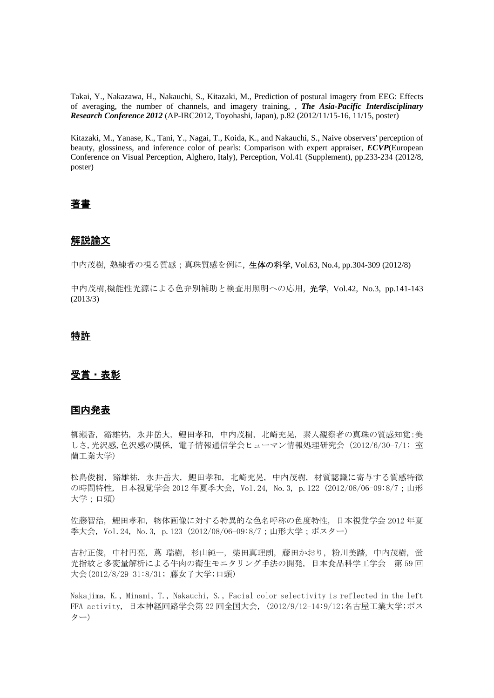Takai, Y., Nakazawa, H., Nakauchi, S., Kitazaki, M., Prediction of postural imagery from EEG: Effects of averaging, the number of channels, and imagery training, , *The Asia-Pacific Interdisciplinary Research Conference 2012* (AP-IRC2012, Toyohashi, Japan), p.82 (2012/11/15-16, 11/15, poster)

Kitazaki, M., Yanase, K., Tani, Y., Nagai, T., Koida, K., and Nakauchi, S., Naive observers' perception of beauty, glossiness, and inference color of pearls: Comparison with expert appraiser, *ECVP*(European Conference on Visual Perception, Alghero, Italy), Perception, Vol.41 (Supplement), pp.233-234 (2012/8, poster)

## 著書

### 解説論文

中内茂樹, 熟練者の視る質感;真珠質感を例に, 生体の科学, Vol.63, No.4, pp.304-309 (2012/8)

中内茂樹,機能性光源による色弁別補助と検査用照明への応用, 光学, Vol.42, No.3, pp.141-143 (2013/3)

### 特許

### 受賞・表彰

### 国内発表

柳瀬香, 谿雄祐, 永井岳大, 鯉田孝和, 中内茂樹, 北崎充晃, 素人観察者の真珠の質感知覚:美 しさ,光沢感,色沢感の関係, 電子情報通信学会ヒューマン情報処理研究会(2012/6/30-7/1; 室 蘭工業大学)

松島俊樹, 谿雄祐, 永井岳大, 鯉田孝和, 北崎充晃, 中内茂樹, 材質認識に寄与する質感特徴 の時間特性, 日本視覚学会 2012 年夏季大会, Vol.24, No.3, p.122 (2012/08/06-09:8/7;山形 大学;口頭)

佐藤智治, 鯉田孝和, 物体画像に対する特異的な色名呼称の色度特性, 日本視覚学会 2012 年夏 季大会, Vol.24, No.3, p.123 (2012/08/06-09:8/7;山形大学;ポスター)

吉村正俊, 中村円亮, 蔦 瑞樹, 杉山純一, 柴田真理朗, 藤田かおり, 粉川美踏, 中内茂樹, 蛍 光指紋と多変量解析による牛肉の衛生モニタリング手法の開発, 日本食品科学工学会 第 59 回 大会(2012/8/29-31:8/31; 藤女子大学;口頭)

Nakajima, K., Minami, T., Nakauchi, S., Facial color selectivity is reflected in the left FFA activity, 日本神経回路学会第 22 回全国大会, (2012/9/12-14:9/12;名古屋工業大学;ポス ター)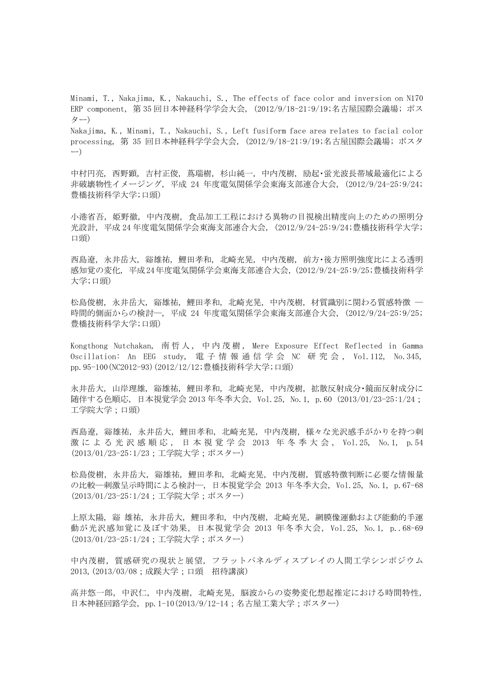Minami, T., Nakajima, K., Nakauchi, S., The effects of face color and inversion on N170 ERP component, 第 35 回日本神経科学学会大会, (2012/9/18-21:9/19;名古屋国際会議場; ポス ター) Nakajima, K., Minami, T., Nakauchi, S., Left fusiform face area relates to facial color

processing, 第 35 回日本神経科学学会大会, (2012/9/18-21:9/19;名古屋国際会議場; ポスタ ー)

中村円亮, 西野顕, 吉村正俊, 蔦瑞樹, 杉山純一, 中内茂樹, 励起・蛍光波長帯域最適化による 非破壊物性イメージング, 平成 24 年度電気関係学会東海支部連合大会, (2012/9/24-25:9/24; 豊橋技術科学大学;口頭)

小港省吾, 姫野徹, 中内茂樹, 食品加工工程における異物の目視検出精度向上のための照明分 光設計, 平成 24 年度電気関係学会東海支部連合大会, (2012/9/24-25:9/24;豊橋技術科学大学; 口頭)

西島遼, 永井岳大, 谿雄祐, 鯉田孝和, 北崎充晃, 中内茂樹, 前方・後方照明強度比による透明 感知覚の変化, 平成 24年度電気関係学会東海支部連合大会, (2012/9/24-25:9/25;豊橋技術科学 大学;口頭)

松島俊樹, 永井岳大, 谿雄祐, 鯉田孝和, 北崎充晃, 中内茂樹, 材質識別に関わる質感特徴 ― 時間的側面からの検討―, 平成 24 年度電気関係学会東海支部連合大会, (2012/9/24-25:9/25; 豊橋技術科学大学;口頭)

Kongthong Nutchakan, 南哲人, 中内茂樹, Mere Exposure Effect Reflected in Gamma Oscillation: An EEG study, 電 子 情 報 通 信 学 会 NC 研 究 会 , Vol.112, No.345, pp.95-100(NC2012-93)(2012/12/12;豊橋技術科学大学;口頭)

永井岳大, 山岸理雄, 谿雄祐, 鯉田孝和, 北崎充晃, 中内茂樹, 拡散反射成分・鏡面反射成分に 随伴する色順応, 日本視覚学会 2013 年冬季大会, Vol.25, No.1, p.60 (2013/01/23-25:1/24; 工学院大学;口頭)

西島遼, 谿雄祐, 永井岳大, 鯉田孝和, 北崎充晃, 中内茂樹, 様々な光沢感手がかりを持つ刺 激 に よ る 光 沢 感 順 応 , 日 本 視 覚 学 会 2013 年 冬 季 大 会 , Vol.25, No.1, p.54 (2013/01/23-25:1/23;工学院大学;ポスター)

松島俊樹, 永井岳大, 谿雄祐, 鯉田孝和, 北崎充晃, 中内茂樹, 質感特徴判断に必要な情報量 の比較―刺激呈示時間による検討―, 日本視覚学会 2013 年冬季大会, Vol.25, No.1, p.67-68 (2013/01/23-25:1/24;工学院大学;ポスター)

上原太陽, 谿 雄祐, 永井岳大, 鯉田孝和, 中内茂樹, 北崎充晃, 網膜像運動および能動的手運 動が光沢感知覚に及ぼす効果, 日本視覚学会 2013 年冬季大会, Vol.25, No.1, p..68-69 (2013/01/23-25:1/24;工学院大学;ポスター)

中内茂樹,質感研究の現状と展望, フラットパネルディスプレイの人間工学シンポジウム 2013,(2013/03/08;成蹊大学;口頭 招待講演)

高井悠一郎, 中沢仁, 中内茂樹, 北崎充晃, 脳波からの姿勢変化想起推定における時間特性, 日本神経回路学会, pp.1-10(2013/9/12-14;名古屋工業大学;ポスター)